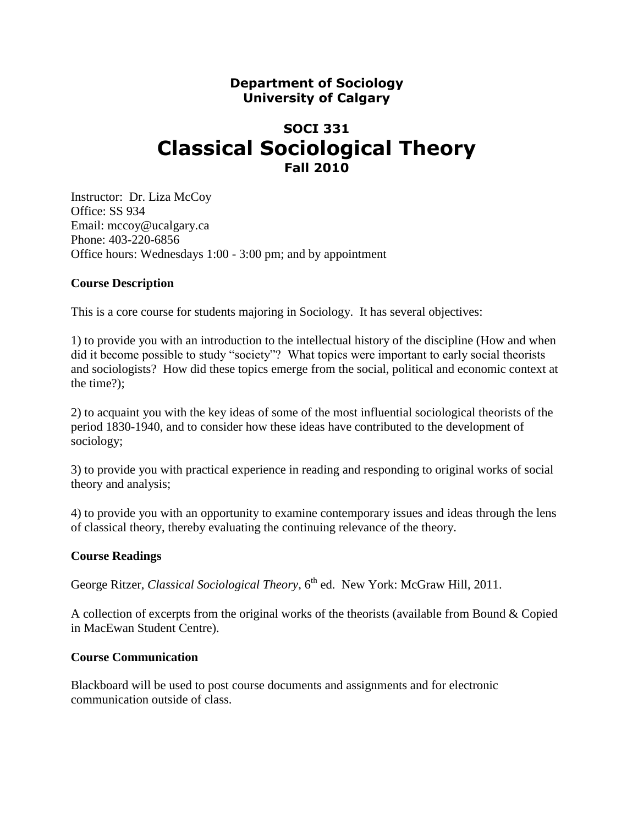## **Department of Sociology University of Calgary**

# **SOCI 331 Classical Sociological Theory Fall 2010**

Instructor: Dr. Liza McCoy Office: SS 934 Email: mccoy@ucalgary.ca Phone: 403-220-6856 Office hours: Wednesdays 1:00 - 3:00 pm; and by appointment

## **Course Description**

This is a core course for students majoring in Sociology. It has several objectives:

1) to provide you with an introduction to the intellectual history of the discipline (How and when did it become possible to study "society"? What topics were important to early social theorists and sociologists? How did these topics emerge from the social, political and economic context at the time?);

2) to acquaint you with the key ideas of some of the most influential sociological theorists of the period 1830-1940, and to consider how these ideas have contributed to the development of sociology;

3) to provide you with practical experience in reading and responding to original works of social theory and analysis;

4) to provide you with an opportunity to examine contemporary issues and ideas through the lens of classical theory, thereby evaluating the continuing relevance of the theory.

### **Course Readings**

George Ritzer, *Classical Sociological Theory*, 6<sup>th</sup> ed. New York: McGraw Hill, 2011.

A collection of excerpts from the original works of the theorists (available from Bound & Copied in MacEwan Student Centre).

### **Course Communication**

Blackboard will be used to post course documents and assignments and for electronic communication outside of class.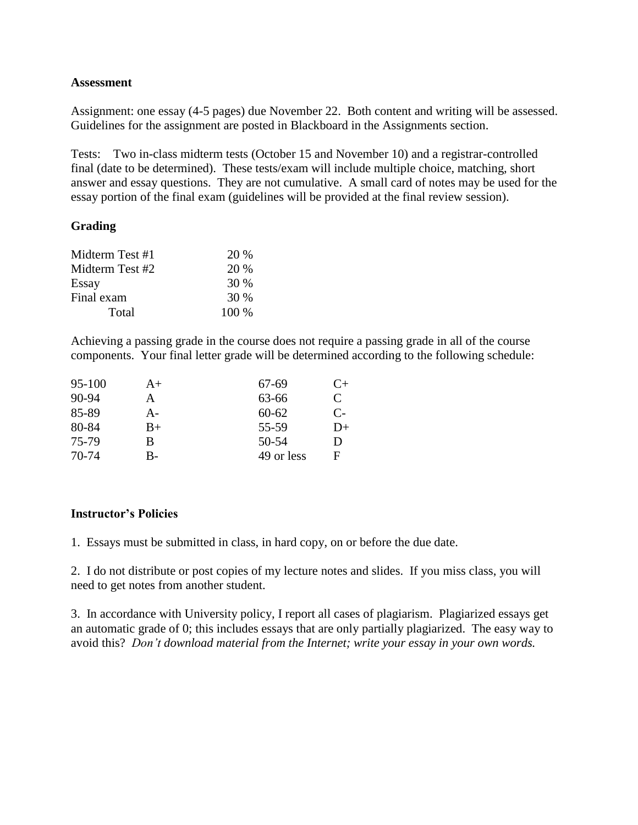### **Assessment**

Assignment: one essay (4-5 pages) due November 22. Both content and writing will be assessed. Guidelines for the assignment are posted in Blackboard in the Assignments section.

Tests: Two in-class midterm tests (October 15 and November 10) and a registrar-controlled final (date to be determined). These tests/exam will include multiple choice, matching, short answer and essay questions. They are not cumulative. A small card of notes may be used for the essay portion of the final exam (guidelines will be provided at the final review session).

## **Grading**

| Midterm Test #1 | 20 %    |
|-----------------|---------|
| Midterm Test #2 | 20 %    |
| Essay           | 30 %    |
| Final exam      | 30 %    |
| Total           | $100\%$ |

Achieving a passing grade in the course does not require a passing grade in all of the course components. Your final letter grade will be determined according to the following schedule:

| 95-100    | $A+$ | 67-69      | $C+$ |
|-----------|------|------------|------|
| $90 - 94$ | A    | 63-66      | C    |
| 85-89     | A-   | $60 - 62$  | $C-$ |
| 80-84     | $B+$ | 55-59      | D+   |
| 75-79     | B    | 50-54      | D    |
| 70-74     | B-   | 49 or less | F    |

### **Instructor's Policies**

1. Essays must be submitted in class, in hard copy, on or before the due date.

2. I do not distribute or post copies of my lecture notes and slides. If you miss class, you will need to get notes from another student.

3. In accordance with University policy, I report all cases of plagiarism. Plagiarized essays get an automatic grade of 0; this includes essays that are only partially plagiarized. The easy way to avoid this? *Don't download material from the Internet; write your essay in your own words.*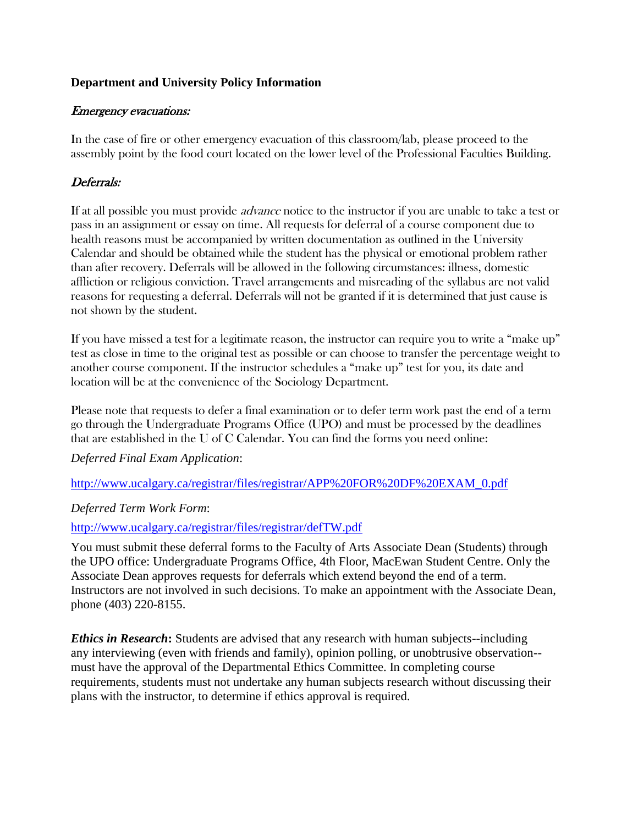## **Department and University Policy Information**

## Emergency evacuations:

In the case of fire or other emergency evacuation of this classroom/lab, please proceed to the assembly point by the food court located on the lower level of the Professional Faculties Building.

## Deferrals:

If at all possible you must provide *advance* notice to the instructor if you are unable to take a test or pass in an assignment or essay on time. All requests for deferral of a course component due to health reasons must be accompanied by written documentation as outlined in the University Calendar and should be obtained while the student has the physical or emotional problem rather than after recovery. Deferrals will be allowed in the following circumstances: illness, domestic affliction or religious conviction. Travel arrangements and misreading of the syllabus are not valid reasons for requesting a deferral. Deferrals will not be granted if it is determined that just cause is not shown by the student.

If you have missed a test for a legitimate reason, the instructor can require you to write a "make up" test as close in time to the original test as possible or can choose to transfer the percentage weight to another course component. If the instructor schedules a "make up" test for you, its date and location will be at the convenience of the Sociology Department.

Please note that requests to defer a final examination or to defer term work past the end of a term go through the Undergraduate Programs Office (UPO) and must be processed by the deadlines that are established in the U of C Calendar. You can find the forms you need online:

*Deferred Final Exam Application*:

http://www.ucalgary.ca/registrar/files/registrar/APP%20FOR%20DF%20EXAM\_0.pdf

## *Deferred Term Work Form*:

## <http://www.ucalgary.ca/registrar/files/registrar/defTW.pdf>

You must submit these deferral forms to the Faculty of Arts Associate Dean (Students) through the UPO office: Undergraduate Programs Office, 4th Floor, MacEwan Student Centre. Only the Associate Dean approves requests for deferrals which extend beyond the end of a term. Instructors are not involved in such decisions. To make an appointment with the Associate Dean, phone (403) 220-8155.

*Ethics in Research***:** Students are advised that any research with human subjects--including any interviewing (even with friends and family), opinion polling, or unobtrusive observation- must have the approval of the Departmental Ethics Committee. In completing course requirements, students must not undertake any human subjects research without discussing their plans with the instructor, to determine if ethics approval is required.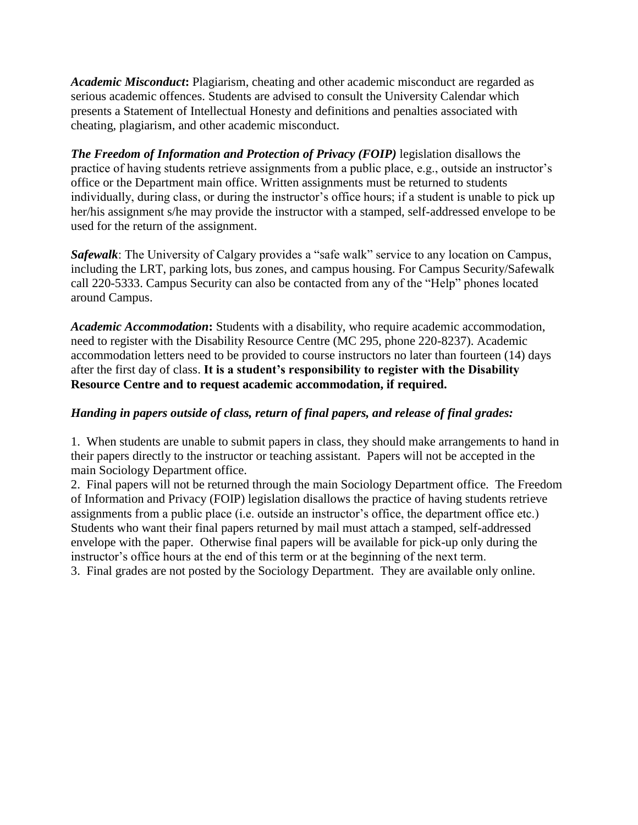*Academic Misconduct***:** Plagiarism, cheating and other academic misconduct are regarded as serious academic offences. Students are advised to consult the University Calendar which presents a Statement of Intellectual Honesty and definitions and penalties associated with cheating, plagiarism, and other academic misconduct.

*The Freedom of Information and Protection of Privacy (FOIP)* legislation disallows the practice of having students retrieve assignments from a public place, e.g., outside an instructor's office or the Department main office. Written assignments must be returned to students individually, during class, or during the instructor's office hours; if a student is unable to pick up her/his assignment s/he may provide the instructor with a stamped, self-addressed envelope to be used for the return of the assignment.

*Safewalk*: The University of Calgary provides a "safe walk" service to any location on Campus, including the LRT, parking lots, bus zones, and campus housing. For Campus Security/Safewalk call 220-5333. Campus Security can also be contacted from any of the "Help" phones located around Campus.

*Academic Accommodation***:** Students with a disability, who require academic accommodation, need to register with the Disability Resource Centre (MC 295, phone 220-8237). Academic accommodation letters need to be provided to course instructors no later than fourteen (14) days after the first day of class. **It is a student's responsibility to register with the Disability Resource Centre and to request academic accommodation, if required.** 

## *Handing in papers outside of class, return of final papers, and release of final grades:*

1. When students are unable to submit papers in class, they should make arrangements to hand in their papers directly to the instructor or teaching assistant. Papers will not be accepted in the main Sociology Department office.

2. Final papers will not be returned through the main Sociology Department office. The Freedom of Information and Privacy (FOIP) legislation disallows the practice of having students retrieve assignments from a public place (i.e. outside an instructor's office, the department office etc.) Students who want their final papers returned by mail must attach a stamped, self-addressed envelope with the paper. Otherwise final papers will be available for pick-up only during the instructor's office hours at the end of this term or at the beginning of the next term.

3. Final grades are not posted by the Sociology Department. They are available only online.